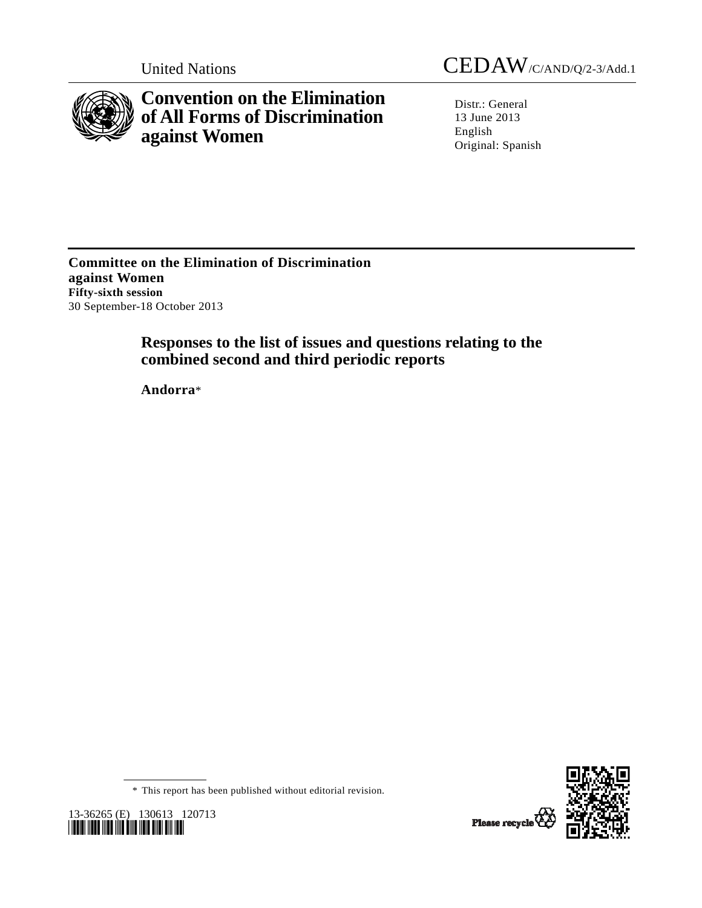

**Convention on the Elimination of All Forms of Discrimination against Women** 

United Nations CEDAW/C/AND/Q/2-3/Add.1

Distr.: General 13 June 2013 English Original: Spanish

**Committee on the Elimination of Discrimination against Women Fifty-sixth session**  30 September-18 October 2013

# **Responses to the list of issues and questions relating to the combined second and third periodic reports**

 **Andorra**\*



\* This report has been published without editorial revision.

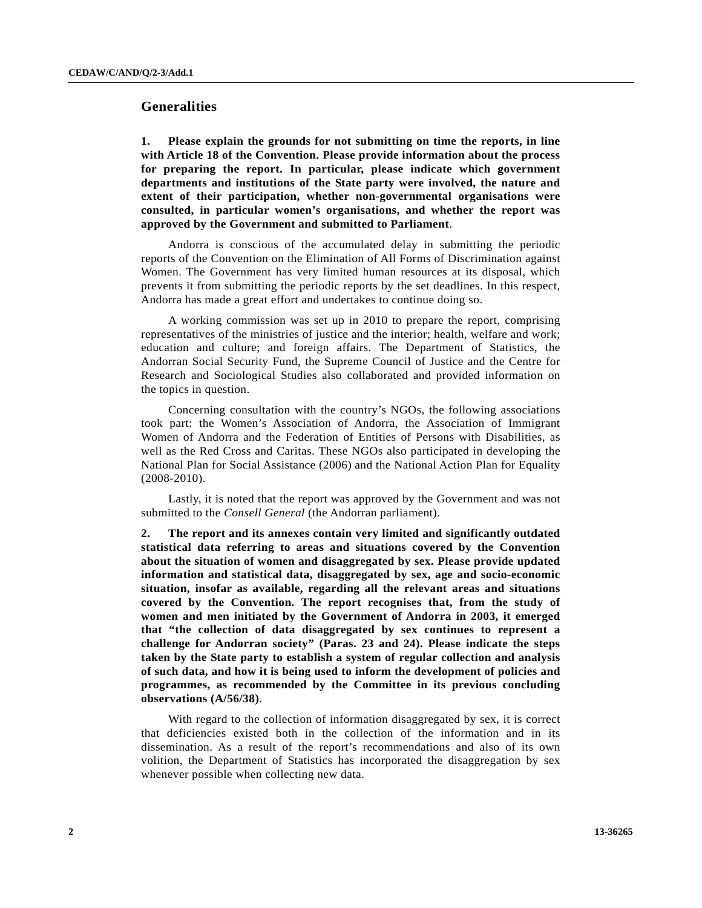## **Generalities**

**1. Please explain the grounds for not submitting on time the reports, in line with Article 18 of the Convention. Please provide information about the process for preparing the report. In particular, please indicate which government departments and institutions of the State party were involved, the nature and extent of their participation, whether non-governmental organisations were consulted, in particular women's organisations, and whether the report was approved by the Government and submitted to Parliament**.

 Andorra is conscious of the accumulated delay in submitting the periodic reports of the Convention on the Elimination of All Forms of Discrimination against Women. The Government has very limited human resources at its disposal, which prevents it from submitting the periodic reports by the set deadlines. In this respect, Andorra has made a great effort and undertakes to continue doing so.

 A working commission was set up in 2010 to prepare the report, comprising representatives of the ministries of justice and the interior; health, welfare and work; education and culture; and foreign affairs. The Department of Statistics, the Andorran Social Security Fund, the Supreme Council of Justice and the Centre for Research and Sociological Studies also collaborated and provided information on the topics in question.

 Concerning consultation with the country's NGOs, the following associations took part: the Women's Association of Andorra, the Association of Immigrant Women of Andorra and the Federation of Entities of Persons with Disabilities, as well as the Red Cross and Caritas. These NGOs also participated in developing the National Plan for Social Assistance (2006) and the National Action Plan for Equality (2008-2010).

 Lastly, it is noted that the report was approved by the Government and was not submitted to the *Consell General* (the Andorran parliament).

**2. The report and its annexes contain very limited and significantly outdated statistical data referring to areas and situations covered by the Convention about the situation of women and disaggregated by sex. Please provide updated information and statistical data, disaggregated by sex, age and socio-economic situation, insofar as available, regarding all the relevant areas and situations covered by the Convention. The report recognises that, from the study of women and men initiated by the Government of Andorra in 2003, it emerged that "the collection of data disaggregated by sex continues to represent a challenge for Andorran society" (Paras. 23 and 24). Please indicate the steps taken by the State party to establish a system of regular collection and analysis of such data, and how it is being used to inform the development of policies and programmes, as recommended by the Committee in its previous concluding observations (A/56/38)**.

 With regard to the collection of information disaggregated by sex, it is correct that deficiencies existed both in the collection of the information and in its dissemination. As a result of the report's recommendations and also of its own volition, the Department of Statistics has incorporated the disaggregation by sex whenever possible when collecting new data.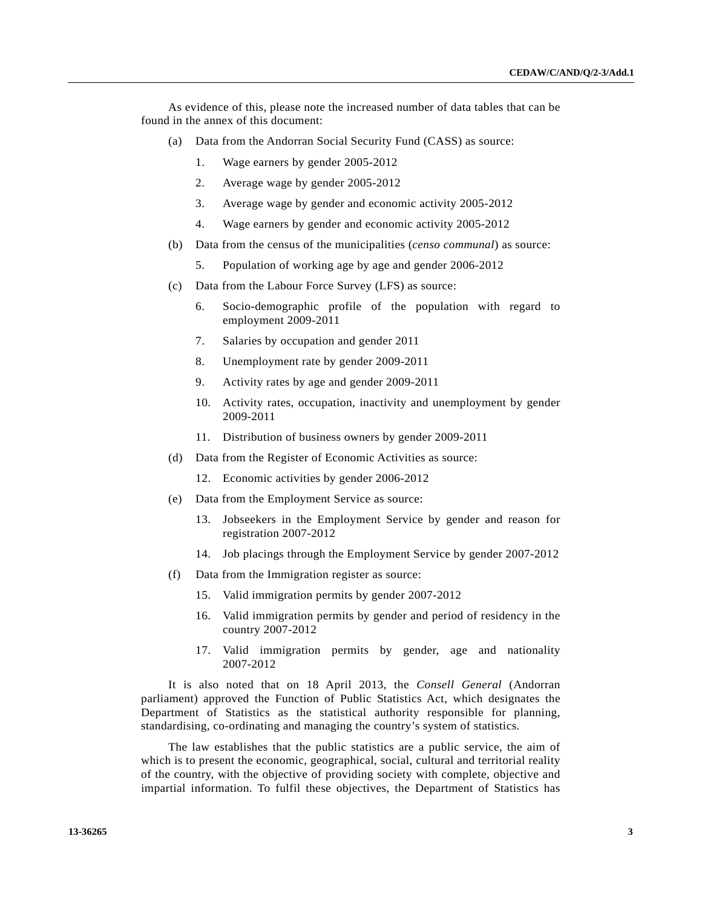As evidence of this, please note the increased number of data tables that can be found in the annex of this document:

- (a) Data from the Andorran Social Security Fund (CASS) as source:
	- 1. Wage earners by gender 2005-2012
	- 2. Average wage by gender 2005-2012
	- 3. Average wage by gender and economic activity 2005-2012
	- 4. Wage earners by gender and economic activity 2005-2012
- (b) Data from the census of the municipalities (*censo communal*) as source:
	- 5. Population of working age by age and gender 2006-2012
- (c) Data from the Labour Force Survey (LFS) as source:
	- 6. Socio-demographic profile of the population with regard to employment 2009-2011
	- 7. Salaries by occupation and gender 2011
	- 8. Unemployment rate by gender 2009-2011
	- 9. Activity rates by age and gender 2009-2011
	- 10. Activity rates, occupation, inactivity and unemployment by gender 2009-2011
	- 11. Distribution of business owners by gender 2009-2011
- (d) Data from the Register of Economic Activities as source:
	- 12. Economic activities by gender 2006-2012
- (e) Data from the Employment Service as source:
	- 13. Jobseekers in the Employment Service by gender and reason for registration 2007-2012
	- 14. Job placings through the Employment Service by gender 2007-2012
- (f) Data from the Immigration register as source:
	- 15. Valid immigration permits by gender 2007-2012
	- 16. Valid immigration permits by gender and period of residency in the country 2007-2012
	- 17. Valid immigration permits by gender, age and nationality 2007-2012

 It is also noted that on 18 April 2013, the *Consell General* (Andorran parliament) approved the Function of Public Statistics Act, which designates the Department of Statistics as the statistical authority responsible for planning, standardising, co-ordinating and managing the country's system of statistics.

 The law establishes that the public statistics are a public service, the aim of which is to present the economic, geographical, social, cultural and territorial reality of the country, with the objective of providing society with complete, objective and impartial information. To fulfil these objectives, the Department of Statistics has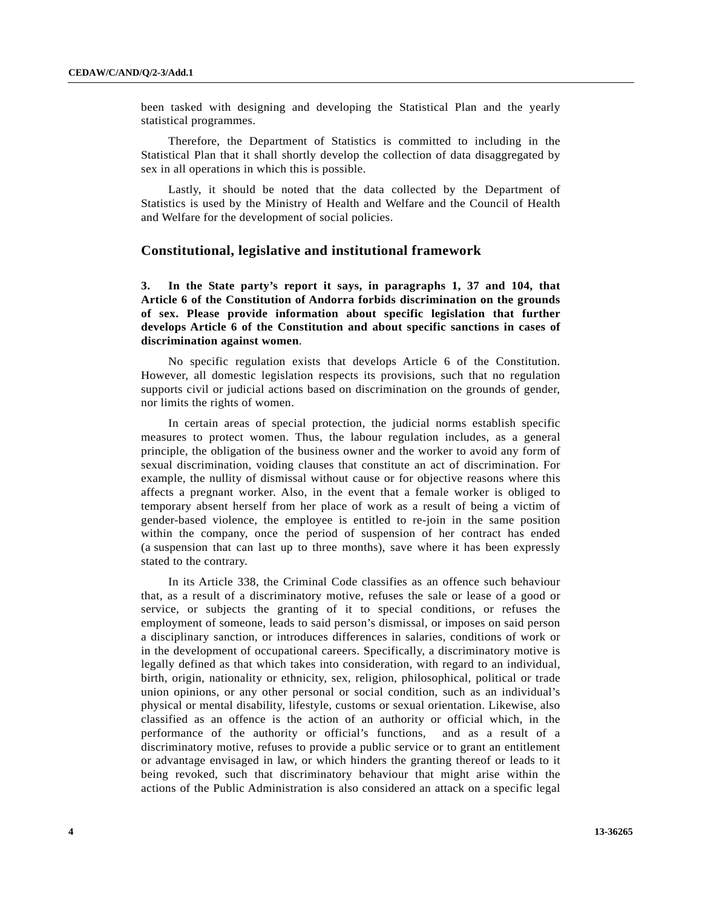been tasked with designing and developing the Statistical Plan and the yearly statistical programmes.

 Therefore, the Department of Statistics is committed to including in the Statistical Plan that it shall shortly develop the collection of data disaggregated by sex in all operations in which this is possible.

 Lastly, it should be noted that the data collected by the Department of Statistics is used by the Ministry of Health and Welfare and the Council of Health and Welfare for the development of social policies.

# **Constitutional, legislative and institutional framework**

**3. In the State party's report it says, in paragraphs 1, 37 and 104, that Article 6 of the Constitution of Andorra forbids discrimination on the grounds of sex. Please provide information about specific legislation that further develops Article 6 of the Constitution and about specific sanctions in cases of discrimination against women**.

 No specific regulation exists that develops Article 6 of the Constitution. However, all domestic legislation respects its provisions, such that no regulation supports civil or judicial actions based on discrimination on the grounds of gender, nor limits the rights of women.

 In certain areas of special protection, the judicial norms establish specific measures to protect women. Thus, the labour regulation includes, as a general principle, the obligation of the business owner and the worker to avoid any form of sexual discrimination, voiding clauses that constitute an act of discrimination. For example, the nullity of dismissal without cause or for objective reasons where this affects a pregnant worker. Also, in the event that a female worker is obliged to temporary absent herself from her place of work as a result of being a victim of gender-based violence, the employee is entitled to re-join in the same position within the company, once the period of suspension of her contract has ended (a suspension that can last up to three months), save where it has been expressly stated to the contrary.

 In its Article 338, the Criminal Code classifies as an offence such behaviour that, as a result of a discriminatory motive, refuses the sale or lease of a good or service, or subjects the granting of it to special conditions, or refuses the employment of someone, leads to said person's dismissal, or imposes on said person a disciplinary sanction, or introduces differences in salaries, conditions of work or in the development of occupational careers. Specifically, a discriminatory motive is legally defined as that which takes into consideration, with regard to an individual, birth, origin, nationality or ethnicity, sex, religion, philosophical, political or trade union opinions, or any other personal or social condition, such as an individual's physical or mental disability, lifestyle, customs or sexual orientation. Likewise, also classified as an offence is the action of an authority or official which, in the performance of the authority or official's functions, and as a result of a discriminatory motive, refuses to provide a public service or to grant an entitlement or advantage envisaged in law, or which hinders the granting thereof or leads to it being revoked, such that discriminatory behaviour that might arise within the actions of the Public Administration is also considered an attack on a specific legal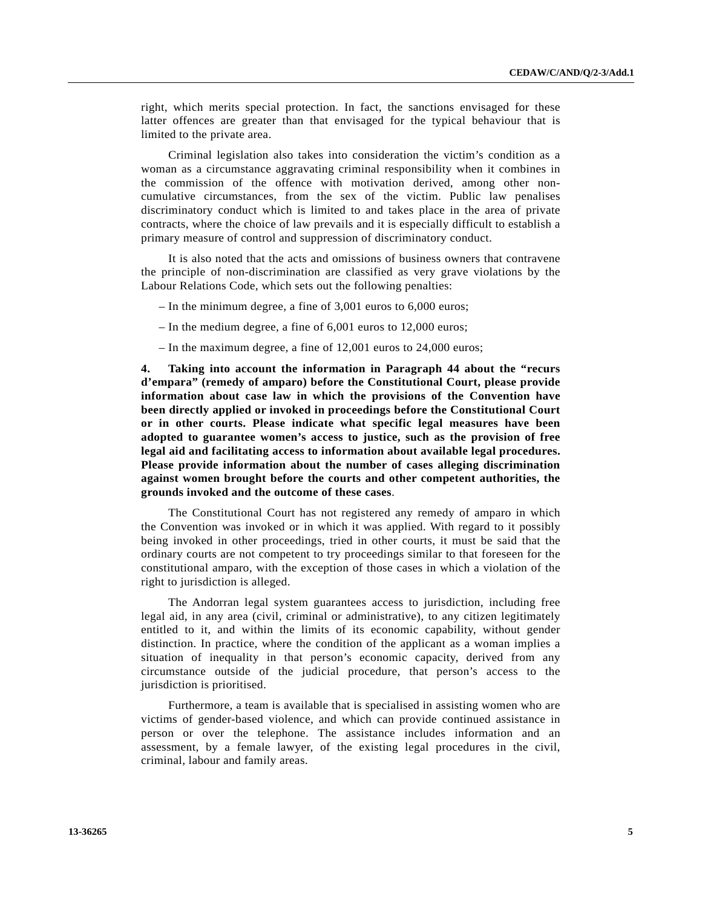right, which merits special protection. In fact, the sanctions envisaged for these latter offences are greater than that envisaged for the typical behaviour that is limited to the private area.

 Criminal legislation also takes into consideration the victim's condition as a woman as a circumstance aggravating criminal responsibility when it combines in the commission of the offence with motivation derived, among other noncumulative circumstances, from the sex of the victim. Public law penalises discriminatory conduct which is limited to and takes place in the area of private contracts, where the choice of law prevails and it is especially difficult to establish a primary measure of control and suppression of discriminatory conduct.

 It is also noted that the acts and omissions of business owners that contravene the principle of non-discrimination are classified as very grave violations by the Labour Relations Code, which sets out the following penalties:

- In the minimum degree, a fine of 3,001 euros to 6,000 euros;
- In the medium degree, a fine of 6,001 euros to 12,000 euros;
- In the maximum degree, a fine of 12,001 euros to 24,000 euros;

**4. Taking into account the information in Paragraph 44 about the "recurs d'empara" (remedy of amparo) before the Constitutional Court, please provide information about case law in which the provisions of the Convention have been directly applied or invoked in proceedings before the Constitutional Court or in other courts. Please indicate what specific legal measures have been adopted to guarantee women's access to justice, such as the provision of free legal aid and facilitating access to information about available legal procedures. Please provide information about the number of cases alleging discrimination against women brought before the courts and other competent authorities, the grounds invoked and the outcome of these cases**.

 The Constitutional Court has not registered any remedy of amparo in which the Convention was invoked or in which it was applied. With regard to it possibly being invoked in other proceedings, tried in other courts, it must be said that the ordinary courts are not competent to try proceedings similar to that foreseen for the constitutional amparo, with the exception of those cases in which a violation of the right to jurisdiction is alleged.

 The Andorran legal system guarantees access to jurisdiction, including free legal aid, in any area (civil, criminal or administrative), to any citizen legitimately entitled to it, and within the limits of its economic capability, without gender distinction. In practice, where the condition of the applicant as a woman implies a situation of inequality in that person's economic capacity, derived from any circumstance outside of the judicial procedure, that person's access to the jurisdiction is prioritised.

 Furthermore, a team is available that is specialised in assisting women who are victims of gender-based violence, and which can provide continued assistance in person or over the telephone. The assistance includes information and an assessment, by a female lawyer, of the existing legal procedures in the civil, criminal, labour and family areas.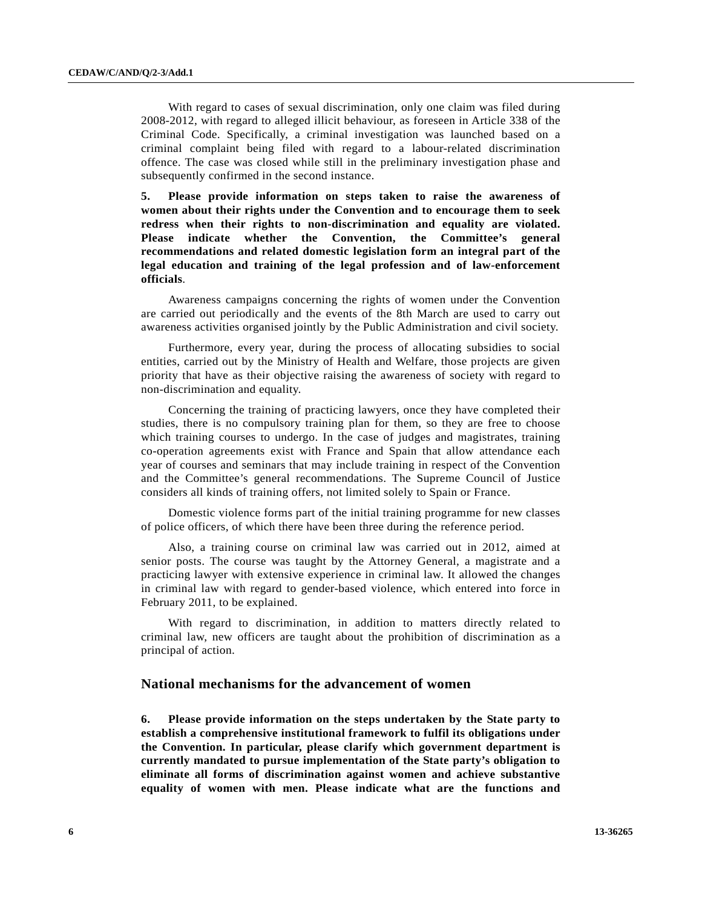With regard to cases of sexual discrimination, only one claim was filed during 2008-2012, with regard to alleged illicit behaviour, as foreseen in Article 338 of the Criminal Code. Specifically, a criminal investigation was launched based on a criminal complaint being filed with regard to a labour-related discrimination offence. The case was closed while still in the preliminary investigation phase and subsequently confirmed in the second instance.

**5. Please provide information on steps taken to raise the awareness of women about their rights under the Convention and to encourage them to seek redress when their rights to non-discrimination and equality are violated. Please indicate whether the Convention, the Committee's general recommendations and related domestic legislation form an integral part of the legal education and training of the legal profession and of law-enforcement officials**.

 Awareness campaigns concerning the rights of women under the Convention are carried out periodically and the events of the 8th March are used to carry out awareness activities organised jointly by the Public Administration and civil society.

 Furthermore, every year, during the process of allocating subsidies to social entities, carried out by the Ministry of Health and Welfare, those projects are given priority that have as their objective raising the awareness of society with regard to non-discrimination and equality.

 Concerning the training of practicing lawyers, once they have completed their studies, there is no compulsory training plan for them, so they are free to choose which training courses to undergo. In the case of judges and magistrates, training co-operation agreements exist with France and Spain that allow attendance each year of courses and seminars that may include training in respect of the Convention and the Committee's general recommendations. The Supreme Council of Justice considers all kinds of training offers, not limited solely to Spain or France.

 Domestic violence forms part of the initial training programme for new classes of police officers, of which there have been three during the reference period.

 Also, a training course on criminal law was carried out in 2012, aimed at senior posts. The course was taught by the Attorney General, a magistrate and a practicing lawyer with extensive experience in criminal law. It allowed the changes in criminal law with regard to gender-based violence, which entered into force in February 2011, to be explained.

 With regard to discrimination, in addition to matters directly related to criminal law, new officers are taught about the prohibition of discrimination as a principal of action.

### **National mechanisms for the advancement of women**

**6. Please provide information on the steps undertaken by the State party to establish a comprehensive institutional framework to fulfil its obligations under the Convention. In particular, please clarify which government department is currently mandated to pursue implementation of the State party's obligation to eliminate all forms of discrimination against women and achieve substantive equality of women with men. Please indicate what are the functions and**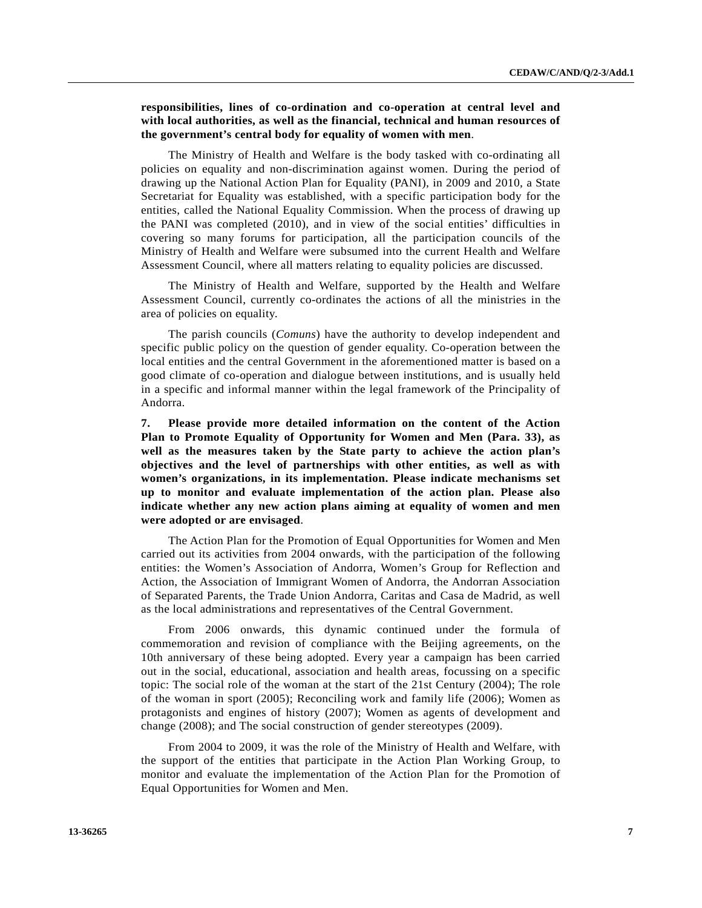### **responsibilities, lines of co-ordination and co-operation at central level and with local authorities, as well as the financial, technical and human resources of the government's central body for equality of women with men**.

 The Ministry of Health and Welfare is the body tasked with co-ordinating all policies on equality and non-discrimination against women. During the period of drawing up the National Action Plan for Equality (PANI), in 2009 and 2010, a State Secretariat for Equality was established, with a specific participation body for the entities, called the National Equality Commission. When the process of drawing up the PANI was completed (2010), and in view of the social entities' difficulties in covering so many forums for participation, all the participation councils of the Ministry of Health and Welfare were subsumed into the current Health and Welfare Assessment Council, where all matters relating to equality policies are discussed.

 The Ministry of Health and Welfare, supported by the Health and Welfare Assessment Council, currently co-ordinates the actions of all the ministries in the area of policies on equality.

 The parish councils (*Comuns*) have the authority to develop independent and specific public policy on the question of gender equality. Co-operation between the local entities and the central Government in the aforementioned matter is based on a good climate of co-operation and dialogue between institutions, and is usually held in a specific and informal manner within the legal framework of the Principality of Andorra.

**7. Please provide more detailed information on the content of the Action Plan to Promote Equality of Opportunity for Women and Men (Para. 33), as well as the measures taken by the State party to achieve the action plan's objectives and the level of partnerships with other entities, as well as with women's organizations, in its implementation. Please indicate mechanisms set up to monitor and evaluate implementation of the action plan. Please also indicate whether any new action plans aiming at equality of women and men were adopted or are envisaged**.

 The Action Plan for the Promotion of Equal Opportunities for Women and Men carried out its activities from 2004 onwards, with the participation of the following entities: the Women's Association of Andorra, Women's Group for Reflection and Action, the Association of Immigrant Women of Andorra, the Andorran Association of Separated Parents, the Trade Union Andorra, Caritas and Casa de Madrid, as well as the local administrations and representatives of the Central Government.

 From 2006 onwards, this dynamic continued under the formula of commemoration and revision of compliance with the Beijing agreements, on the 10th anniversary of these being adopted. Every year a campaign has been carried out in the social, educational, association and health areas, focussing on a specific topic: The social role of the woman at the start of the 21st Century (2004); The role of the woman in sport (2005); Reconciling work and family life (2006); Women as protagonists and engines of history (2007); Women as agents of development and change (2008); and The social construction of gender stereotypes (2009).

 From 2004 to 2009, it was the role of the Ministry of Health and Welfare, with the support of the entities that participate in the Action Plan Working Group, to monitor and evaluate the implementation of the Action Plan for the Promotion of Equal Opportunities for Women and Men.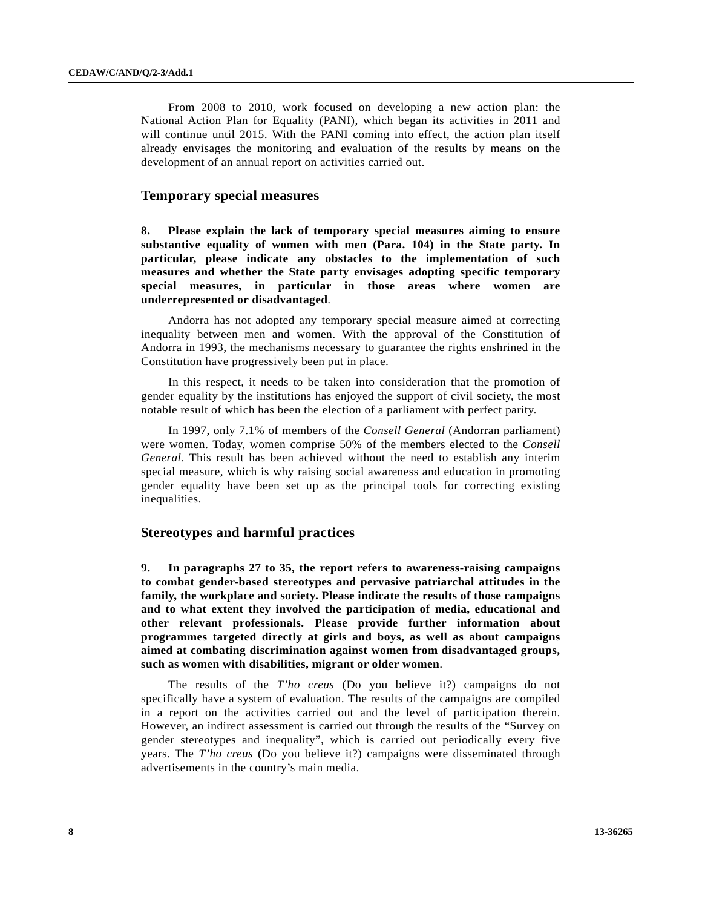From 2008 to 2010, work focused on developing a new action plan: the National Action Plan for Equality (PANI), which began its activities in 2011 and will continue until 2015. With the PANI coming into effect, the action plan itself already envisages the monitoring and evaluation of the results by means on the development of an annual report on activities carried out.

### **Temporary special measures**

**8. Please explain the lack of temporary special measures aiming to ensure substantive equality of women with men (Para. 104) in the State party. In particular, please indicate any obstacles to the implementation of such measures and whether the State party envisages adopting specific temporary special measures, in particular in those areas where women are underrepresented or disadvantaged**.

 Andorra has not adopted any temporary special measure aimed at correcting inequality between men and women. With the approval of the Constitution of Andorra in 1993, the mechanisms necessary to guarantee the rights enshrined in the Constitution have progressively been put in place.

 In this respect, it needs to be taken into consideration that the promotion of gender equality by the institutions has enjoyed the support of civil society, the most notable result of which has been the election of a parliament with perfect parity.

 In 1997, only 7.1% of members of the *Consell General* (Andorran parliament) were women. Today, women comprise 50% of the members elected to the *Consell General*. This result has been achieved without the need to establish any interim special measure, which is why raising social awareness and education in promoting gender equality have been set up as the principal tools for correcting existing inequalities.

# **Stereotypes and harmful practices**

**9. In paragraphs 27 to 35, the report refers to awareness-raising campaigns to combat gender-based stereotypes and pervasive patriarchal attitudes in the family, the workplace and society. Please indicate the results of those campaigns and to what extent they involved the participation of media, educational and other relevant professionals. Please provide further information about programmes targeted directly at girls and boys, as well as about campaigns aimed at combating discrimination against women from disadvantaged groups, such as women with disabilities, migrant or older women**.

 The results of the *T'ho creus* (Do you believe it?) campaigns do not specifically have a system of evaluation. The results of the campaigns are compiled in a report on the activities carried out and the level of participation therein. However, an indirect assessment is carried out through the results of the "Survey on gender stereotypes and inequality", which is carried out periodically every five years. The *T'ho creus* (Do you believe it?) campaigns were disseminated through advertisements in the country's main media.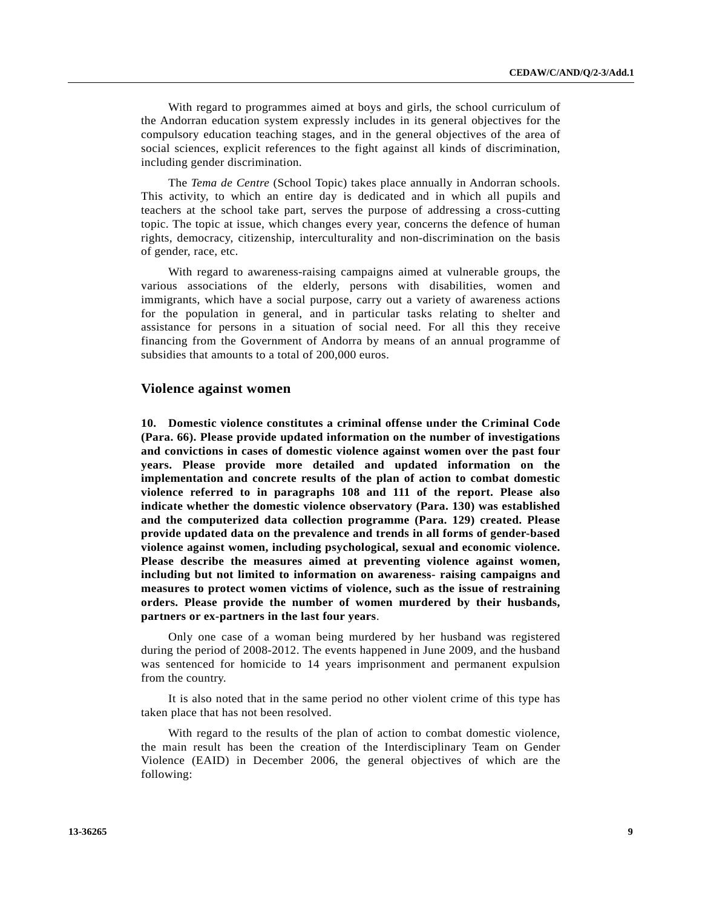With regard to programmes aimed at boys and girls, the school curriculum of the Andorran education system expressly includes in its general objectives for the compulsory education teaching stages, and in the general objectives of the area of social sciences, explicit references to the fight against all kinds of discrimination, including gender discrimination.

 The *Tema de Centre* (School Topic) takes place annually in Andorran schools. This activity, to which an entire day is dedicated and in which all pupils and teachers at the school take part, serves the purpose of addressing a cross-cutting topic. The topic at issue, which changes every year, concerns the defence of human rights, democracy, citizenship, interculturality and non-discrimination on the basis of gender, race, etc.

 With regard to awareness-raising campaigns aimed at vulnerable groups, the various associations of the elderly, persons with disabilities, women and immigrants, which have a social purpose, carry out a variety of awareness actions for the population in general, and in particular tasks relating to shelter and assistance for persons in a situation of social need. For all this they receive financing from the Government of Andorra by means of an annual programme of subsidies that amounts to a total of 200,000 euros.

### **Violence against women**

**10. Domestic violence constitutes a criminal offense under the Criminal Code (Para. 66). Please provide updated information on the number of investigations and convictions in cases of domestic violence against women over the past four years. Please provide more detailed and updated information on the implementation and concrete results of the plan of action to combat domestic violence referred to in paragraphs 108 and 111 of the report. Please also indicate whether the domestic violence observatory (Para. 130) was established and the computerized data collection programme (Para. 129) created. Please provide updated data on the prevalence and trends in all forms of gender-based violence against women, including psychological, sexual and economic violence. Please describe the measures aimed at preventing violence against women, including but not limited to information on awareness- raising campaigns and measures to protect women victims of violence, such as the issue of restraining orders. Please provide the number of women murdered by their husbands, partners or ex-partners in the last four years**.

 Only one case of a woman being murdered by her husband was registered during the period of 2008-2012. The events happened in June 2009, and the husband was sentenced for homicide to 14 years imprisonment and permanent expulsion from the country.

 It is also noted that in the same period no other violent crime of this type has taken place that has not been resolved.

 With regard to the results of the plan of action to combat domestic violence, the main result has been the creation of the Interdisciplinary Team on Gender Violence (EAID) in December 2006, the general objectives of which are the following: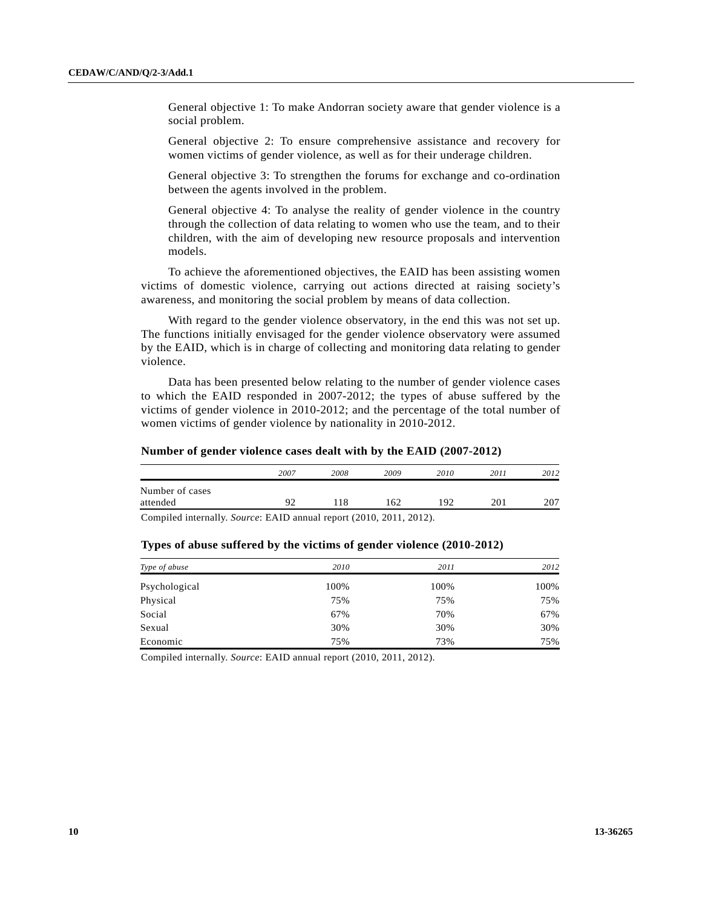General objective 1: To make Andorran society aware that gender violence is a social problem.

General objective 2: To ensure comprehensive assistance and recovery for women victims of gender violence, as well as for their underage children.

General objective 3: To strengthen the forums for exchange and co-ordination between the agents involved in the problem.

General objective 4: To analyse the reality of gender violence in the country through the collection of data relating to women who use the team, and to their children, with the aim of developing new resource proposals and intervention models.

 To achieve the aforementioned objectives, the EAID has been assisting women victims of domestic violence, carrying out actions directed at raising society's awareness, and monitoring the social problem by means of data collection.

 With regard to the gender violence observatory, in the end this was not set up. The functions initially envisaged for the gender violence observatory were assumed by the EAID, which is in charge of collecting and monitoring data relating to gender violence.

 Data has been presented below relating to the number of gender violence cases to which the EAID responded in 2007-2012; the types of abuse suffered by the victims of gender violence in 2010-2012; and the percentage of the total number of women victims of gender violence by nationality in 2010-2012.

#### **Number of gender violence cases dealt with by the EAID (2007-2012)**

|                                                                              | 2007 | 2008 | 2009 | 2010 | 2011 | 2012 |
|------------------------------------------------------------------------------|------|------|------|------|------|------|
| Number of cases                                                              |      |      |      |      |      |      |
| attended                                                                     | o٢   |      | 62   | ∣ Q? |      | 207  |
| Compiled internally $S_0$ ureg: $E\Lambda$ ID annual report (2010–2011–2012) |      |      |      |      |      |      |

Compiled internally. *Source*: EAID annual report (2010, 2011, 2012).

| Type of abuse | 2010 | 2011 | 2012 |
|---------------|------|------|------|
| Psychological | 100% | 100% | 100% |
| Physical      | 75%  | 75%  | 75%  |
| Social        | 67%  | 70%  | 67%  |
| Sexual        | 30%  | 30%  | 30%  |
| Economic      | 75%  | 73%  | 75%  |

### **Types of abuse suffered by the victims of gender violence (2010-2012)**

Compiled internally. *Source*: EAID annual report (2010, 2011, 2012).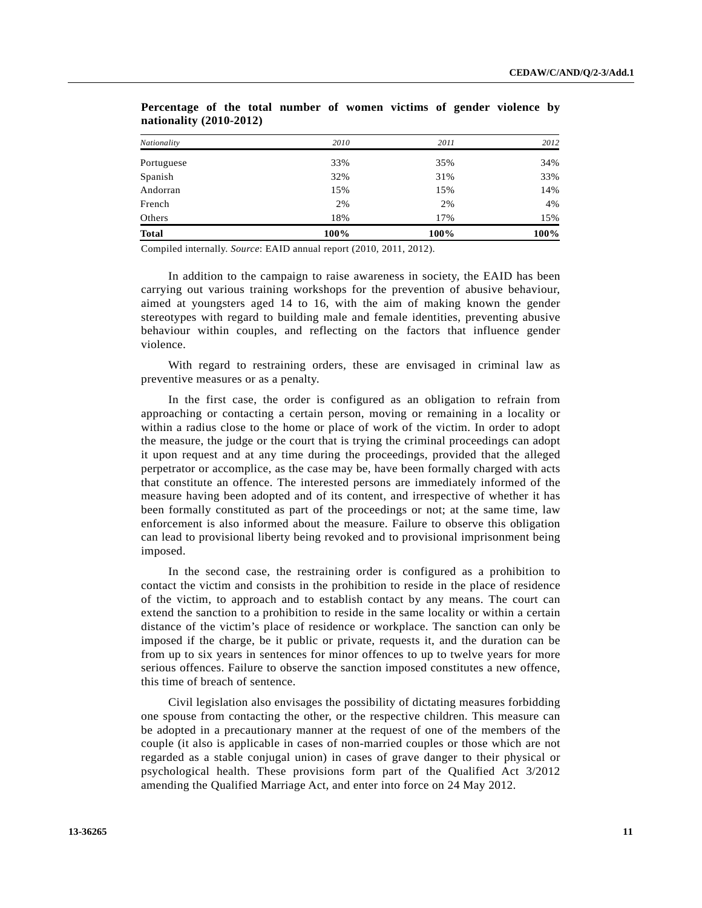| <b>Total</b> | 100% | 100% | 100% |
|--------------|------|------|------|
| Others       | 18%  | 17%  | 15%  |
| French       | 2%   | 2%   | 4%   |
| Andorran     | 15%  | 15%  | 14%  |
| Spanish      | 32%  | 31%  | 33%  |
| Portuguese   | 33%  | 35%  | 34%  |
| Nationality  | 2010 | 2011 | 2012 |
|              |      |      |      |

**Percentage of the total number of women victims of gender violence by nationality (2010-2012)** 

Compiled internally. *Source*: EAID annual report (2010, 2011, 2012).

 In addition to the campaign to raise awareness in society, the EAID has been carrying out various training workshops for the prevention of abusive behaviour, aimed at youngsters aged 14 to 16, with the aim of making known the gender stereotypes with regard to building male and female identities, preventing abusive behaviour within couples, and reflecting on the factors that influence gender violence.

 With regard to restraining orders, these are envisaged in criminal law as preventive measures or as a penalty.

 In the first case, the order is configured as an obligation to refrain from approaching or contacting a certain person, moving or remaining in a locality or within a radius close to the home or place of work of the victim. In order to adopt the measure, the judge or the court that is trying the criminal proceedings can adopt it upon request and at any time during the proceedings, provided that the alleged perpetrator or accomplice, as the case may be, have been formally charged with acts that constitute an offence. The interested persons are immediately informed of the measure having been adopted and of its content, and irrespective of whether it has been formally constituted as part of the proceedings or not; at the same time, law enforcement is also informed about the measure. Failure to observe this obligation can lead to provisional liberty being revoked and to provisional imprisonment being imposed.

 In the second case, the restraining order is configured as a prohibition to contact the victim and consists in the prohibition to reside in the place of residence of the victim, to approach and to establish contact by any means. The court can extend the sanction to a prohibition to reside in the same locality or within a certain distance of the victim's place of residence or workplace. The sanction can only be imposed if the charge, be it public or private, requests it, and the duration can be from up to six years in sentences for minor offences to up to twelve years for more serious offences. Failure to observe the sanction imposed constitutes a new offence, this time of breach of sentence.

 Civil legislation also envisages the possibility of dictating measures forbidding one spouse from contacting the other, or the respective children. This measure can be adopted in a precautionary manner at the request of one of the members of the couple (it also is applicable in cases of non-married couples or those which are not regarded as a stable conjugal union) in cases of grave danger to their physical or psychological health. These provisions form part of the Qualified Act 3/2012 amending the Qualified Marriage Act, and enter into force on 24 May 2012.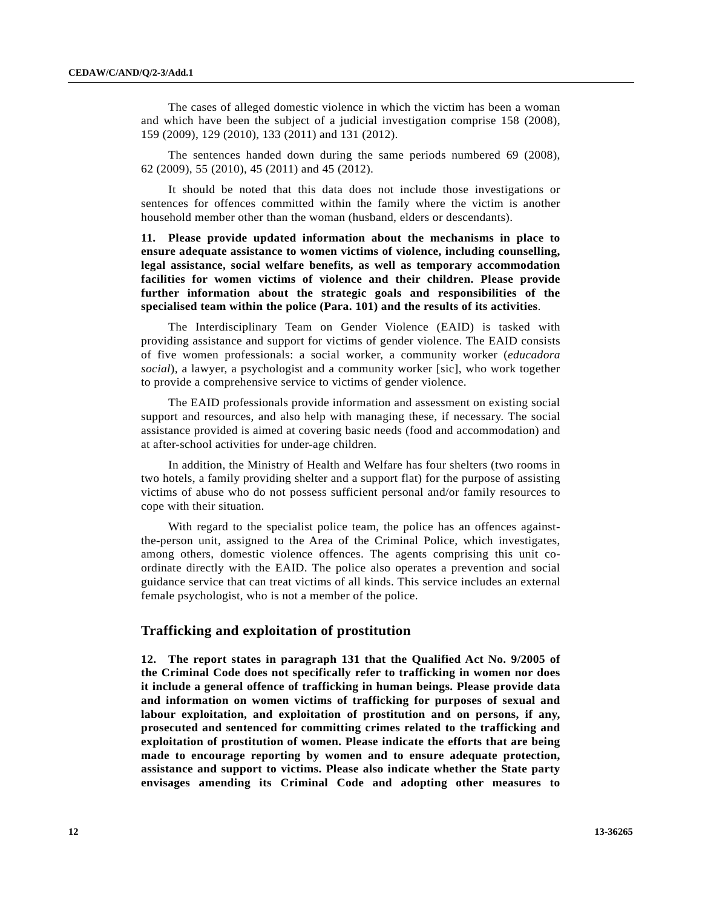The cases of alleged domestic violence in which the victim has been a woman and which have been the subject of a judicial investigation comprise 158 (2008), 159 (2009), 129 (2010), 133 (2011) and 131 (2012).

 The sentences handed down during the same periods numbered 69 (2008), 62 (2009), 55 (2010), 45 (2011) and 45 (2012).

 It should be noted that this data does not include those investigations or sentences for offences committed within the family where the victim is another household member other than the woman (husband, elders or descendants).

**11. Please provide updated information about the mechanisms in place to ensure adequate assistance to women victims of violence, including counselling, legal assistance, social welfare benefits, as well as temporary accommodation facilities for women victims of violence and their children. Please provide further information about the strategic goals and responsibilities of the specialised team within the police (Para. 101) and the results of its activities**.

 The Interdisciplinary Team on Gender Violence (EAID) is tasked with providing assistance and support for victims of gender violence. The EAID consists of five women professionals: a social worker, a community worker (*educadora social*), a lawyer, a psychologist and a community worker [sic], who work together to provide a comprehensive service to victims of gender violence.

 The EAID professionals provide information and assessment on existing social support and resources, and also help with managing these, if necessary. The social assistance provided is aimed at covering basic needs (food and accommodation) and at after-school activities for under-age children.

 In addition, the Ministry of Health and Welfare has four shelters (two rooms in two hotels, a family providing shelter and a support flat) for the purpose of assisting victims of abuse who do not possess sufficient personal and/or family resources to cope with their situation.

With regard to the specialist police team, the police has an offences againstthe-person unit, assigned to the Area of the Criminal Police, which investigates, among others, domestic violence offences. The agents comprising this unit coordinate directly with the EAID. The police also operates a prevention and social guidance service that can treat victims of all kinds. This service includes an external female psychologist, who is not a member of the police.

### **Trafficking and exploitation of prostitution**

**12. The report states in paragraph 131 that the Qualified Act No. 9/2005 of the Criminal Code does not specifically refer to trafficking in women nor does it include a general offence of trafficking in human beings. Please provide data and information on women victims of trafficking for purposes of sexual and labour exploitation, and exploitation of prostitution and on persons, if any, prosecuted and sentenced for committing crimes related to the trafficking and exploitation of prostitution of women. Please indicate the efforts that are being made to encourage reporting by women and to ensure adequate protection, assistance and support to victims. Please also indicate whether the State party envisages amending its Criminal Code and adopting other measures to**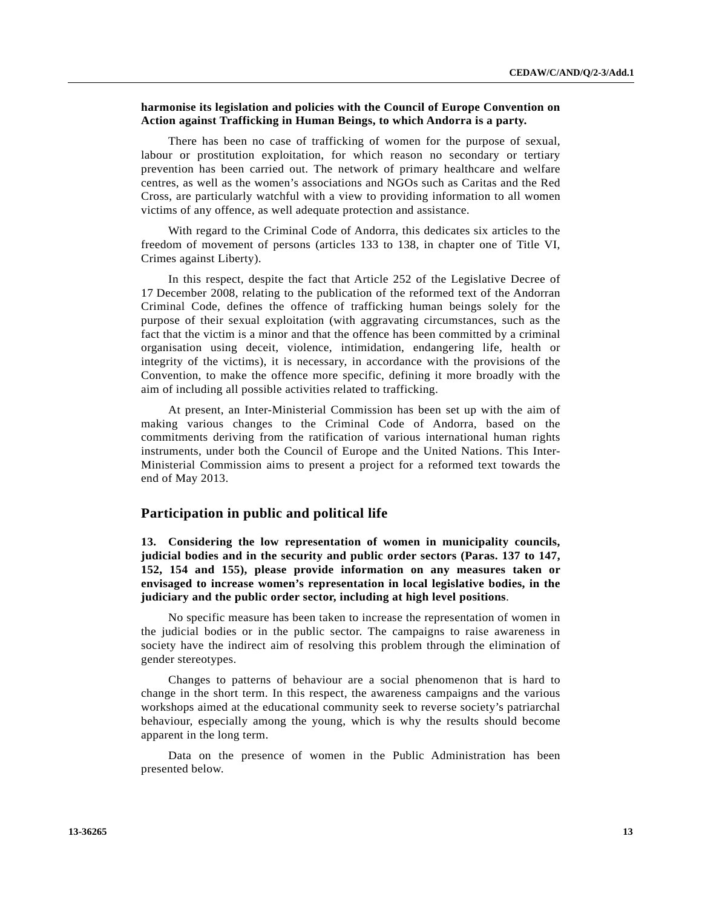### **harmonise its legislation and policies with the Council of Europe Convention on Action against Trafficking in Human Beings, to which Andorra is a party.**

 There has been no case of trafficking of women for the purpose of sexual, labour or prostitution exploitation, for which reason no secondary or tertiary prevention has been carried out. The network of primary healthcare and welfare centres, as well as the women's associations and NGOs such as Caritas and the Red Cross, are particularly watchful with a view to providing information to all women victims of any offence, as well adequate protection and assistance.

 With regard to the Criminal Code of Andorra, this dedicates six articles to the freedom of movement of persons (articles 133 to 138, in chapter one of Title VI, Crimes against Liberty).

 In this respect, despite the fact that Article 252 of the Legislative Decree of 17 December 2008, relating to the publication of the reformed text of the Andorran Criminal Code, defines the offence of trafficking human beings solely for the purpose of their sexual exploitation (with aggravating circumstances, such as the fact that the victim is a minor and that the offence has been committed by a criminal organisation using deceit, violence, intimidation, endangering life, health or integrity of the victims), it is necessary, in accordance with the provisions of the Convention, to make the offence more specific, defining it more broadly with the aim of including all possible activities related to trafficking.

 At present, an Inter-Ministerial Commission has been set up with the aim of making various changes to the Criminal Code of Andorra, based on the commitments deriving from the ratification of various international human rights instruments, under both the Council of Europe and the United Nations. This Inter-Ministerial Commission aims to present a project for a reformed text towards the end of May 2013.

### **Participation in public and political life**

**13. Considering the low representation of women in municipality councils, judicial bodies and in the security and public order sectors (Paras. 137 to 147, 152, 154 and 155), please provide information on any measures taken or envisaged to increase women's representation in local legislative bodies, in the judiciary and the public order sector, including at high level positions**.

 No specific measure has been taken to increase the representation of women in the judicial bodies or in the public sector. The campaigns to raise awareness in society have the indirect aim of resolving this problem through the elimination of gender stereotypes.

 Changes to patterns of behaviour are a social phenomenon that is hard to change in the short term. In this respect, the awareness campaigns and the various workshops aimed at the educational community seek to reverse society's patriarchal behaviour, especially among the young, which is why the results should become apparent in the long term.

 Data on the presence of women in the Public Administration has been presented below.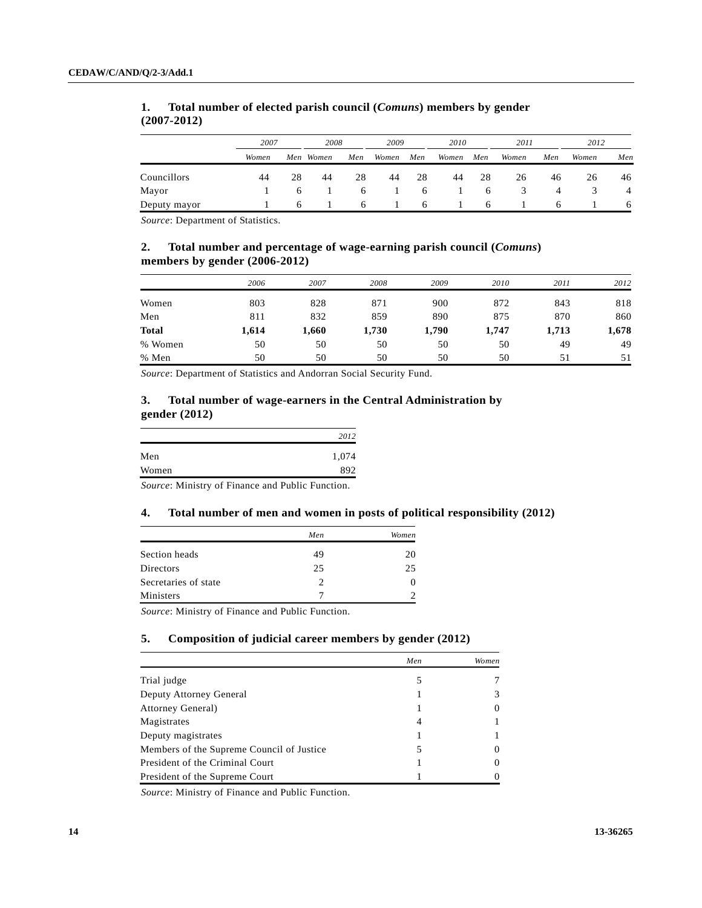|              | 2007  |    | 2008      |     | 2009  |              | 2010  |     | 2011  |     | 2012  |     |
|--------------|-------|----|-----------|-----|-------|--------------|-------|-----|-------|-----|-------|-----|
|              | Women |    | Men Women | Men | Women | Men          | Women | Men | Women | Men | Women | Men |
| Councillors  | 44    | 28 | 44        | 28  | 44    | 28           | 44    | 28  | 26    | 46  | 26    | 46  |
| Mayor        |       |    |           | 6   |       | 6            |       | 6   | 5.    | 4   |       | 4   |
| Deputy mayor |       | 6  |           | h   |       | <sub>6</sub> |       | 6   |       | 6   |       | -6  |

# **1. Total number of elected parish council (***Comuns***) members by gender (2007-2012)**

*Source*: Department of Statistics.

# **2. Total number and percentage of wage-earning parish council (***Comuns***) members by gender (2006-2012)**

|              | 2006  | 2007  | 2008  | 2009  | 2010  | 2011  | 2012  |
|--------------|-------|-------|-------|-------|-------|-------|-------|
| Women        | 803   | 828   | 871   | 900   | 872   | 843   | 818   |
| Men          | 811   | 832   | 859   | 890   | 875   | 870   | 860   |
| <b>Total</b> | 1,614 | 1,660 | 1,730 | 1,790 | 1,747 | 1,713 | 1,678 |
| % Women      | 50    | 50    | 50    | 50    | 50    | 49    | 49    |
| % Men        | 50    | 50    | 50    | 50    | 50    | 51    | 51    |

*Source*: Department of Statistics and Andorran Social Security Fund.

# **3. Total number of wage-earners in the Central Administration by gender (2012)**

|       | 2012  |
|-------|-------|
| Men   | 1,074 |
| Women | 892   |

*Source*: Ministry of Finance and Public Function.

### **4. Total number of men and women in posts of political responsibility (2012)**

|                      | Men | Women |
|----------------------|-----|-------|
| Section heads        | 49  | 20    |
| Directors            | 25  | 25    |
| Secretaries of state | 2   |       |
| Ministers            |     |       |

*Source*: Ministry of Finance and Public Function.

### **5. Composition of judicial career members by gender (2012)**

|                                           | Men | Women         |
|-------------------------------------------|-----|---------------|
| Trial judge                               | 5   |               |
| Deputy Attorney General                   |     | $\mathcal{F}$ |
| Attorney General)                         |     | 0             |
| Magistrates                               | 4   |               |
| Deputy magistrates                        |     |               |
| Members of the Supreme Council of Justice | 5   | $\theta$      |
| President of the Criminal Court           |     | $\theta$      |
| President of the Supreme Court            |     |               |

*Source*: Ministry of Finance and Public Function.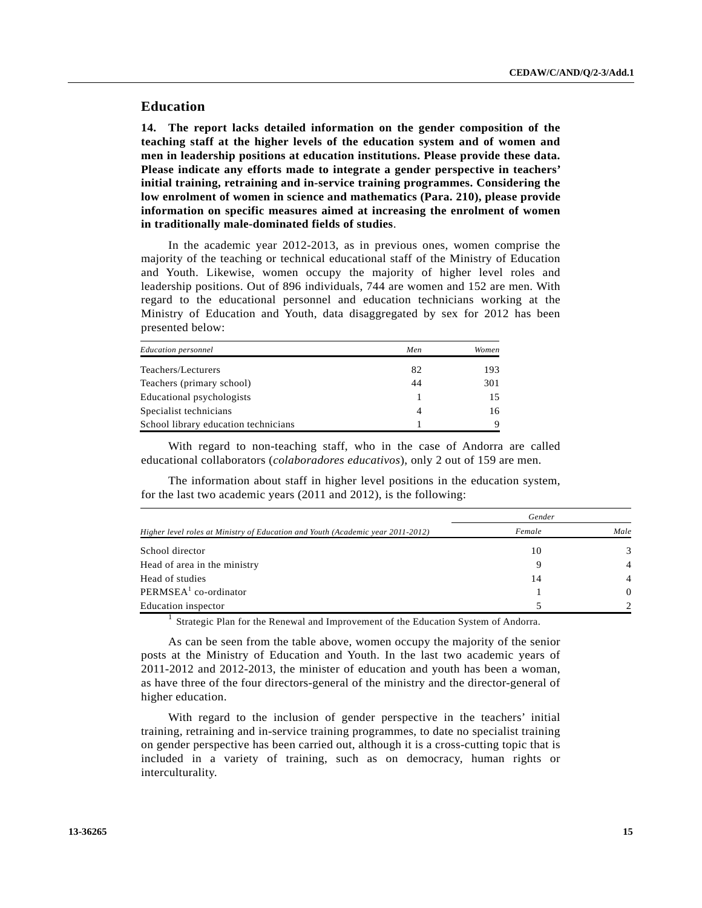# **Education**

**14. The report lacks detailed information on the gender composition of the teaching staff at the higher levels of the education system and of women and men in leadership positions at education institutions. Please provide these data. Please indicate any efforts made to integrate a gender perspective in teachers' initial training, retraining and in-service training programmes. Considering the low enrolment of women in science and mathematics (Para. 210), please provide information on specific measures aimed at increasing the enrolment of women in traditionally male-dominated fields of studies**.

 In the academic year 2012-2013, as in previous ones, women comprise the majority of the teaching or technical educational staff of the Ministry of Education and Youth. Likewise, women occupy the majority of higher level roles and leadership positions. Out of 896 individuals, 744 are women and 152 are men. With regard to the educational personnel and education technicians working at the Ministry of Education and Youth, data disaggregated by sex for 2012 has been presented below:

| <b>Education personnel</b>           | Men | Women |
|--------------------------------------|-----|-------|
| Teachers/Lecturers                   | 82  | 193   |
| Teachers (primary school)            | 44  | 301   |
| Educational psychologists            |     | 15    |
| Specialist technicians               | 4   | 16    |
| School library education technicians |     | 9     |

 With regard to non-teaching staff, who in the case of Andorra are called educational collaborators (*colaboradores educativos*), only 2 out of 159 are men.

 The information about staff in higher level positions in the education system, for the last two academic years (2011 and 2012), is the following:

|                                                                                 | Gender |                |  |  |
|---------------------------------------------------------------------------------|--------|----------------|--|--|
| Higher level roles at Ministry of Education and Youth (Academic year 2011-2012) | Female | Male           |  |  |
| School director                                                                 | 10     | 3              |  |  |
| Head of area in the ministry                                                    | 9      | $\overline{4}$ |  |  |
| Head of studies                                                                 | 14     | $\overline{4}$ |  |  |
| PERMSEA <sup>1</sup> co-ordinator                                               |        | $\Omega$       |  |  |
| Education inspector                                                             |        | $\mathcal{D}$  |  |  |

<sup>1</sup> Strategic Plan for the Renewal and Improvement of the Education System of Andorra.

 As can be seen from the table above, women occupy the majority of the senior posts at the Ministry of Education and Youth. In the last two academic years of 2011-2012 and 2012-2013, the minister of education and youth has been a woman, as have three of the four directors-general of the ministry and the director-general of higher education.

 With regard to the inclusion of gender perspective in the teachers' initial training, retraining and in-service training programmes, to date no specialist training on gender perspective has been carried out, although it is a cross-cutting topic that is included in a variety of training, such as on democracy, human rights or interculturality.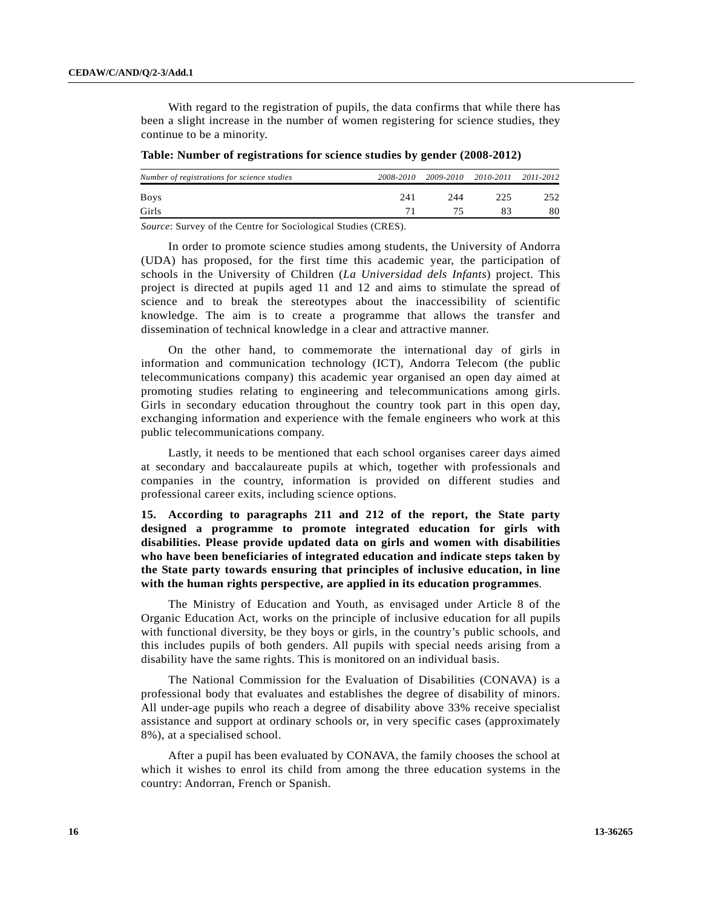With regard to the registration of pupils, the data confirms that while there has been a slight increase in the number of women registering for science studies, they continue to be a minority.

| Number of registrations for science studies |     | 2008-2010 2009-2010 | 2010-2011 2011-2012 |     |
|---------------------------------------------|-----|---------------------|---------------------|-----|
| <b>Boys</b>                                 | 241 | 244                 | 225                 | 252 |
| Girls                                       |     |                     |                     | 80  |
| .                                           |     |                     |                     |     |

*Source*: Survey of the Centre for Sociological Studies (CRES).

 In order to promote science studies among students, the University of Andorra (UDA) has proposed, for the first time this academic year, the participation of schools in the University of Children (*La Universidad dels Infants*) project. This project is directed at pupils aged 11 and 12 and aims to stimulate the spread of science and to break the stereotypes about the inaccessibility of scientific knowledge. The aim is to create a programme that allows the transfer and dissemination of technical knowledge in a clear and attractive manner.

 On the other hand, to commemorate the international day of girls in information and communication technology (ICT), Andorra Telecom (the public telecommunications company) this academic year organised an open day aimed at promoting studies relating to engineering and telecommunications among girls. Girls in secondary education throughout the country took part in this open day, exchanging information and experience with the female engineers who work at this public telecommunications company.

 Lastly, it needs to be mentioned that each school organises career days aimed at secondary and baccalaureate pupils at which, together with professionals and companies in the country, information is provided on different studies and professional career exits, including science options.

**15. According to paragraphs 211 and 212 of the report, the State party designed a programme to promote integrated education for girls with disabilities. Please provide updated data on girls and women with disabilities who have been beneficiaries of integrated education and indicate steps taken by the State party towards ensuring that principles of inclusive education, in line with the human rights perspective, are applied in its education programmes**.

 The Ministry of Education and Youth, as envisaged under Article 8 of the Organic Education Act, works on the principle of inclusive education for all pupils with functional diversity, be they boys or girls, in the country's public schools, and this includes pupils of both genders. All pupils with special needs arising from a disability have the same rights. This is monitored on an individual basis.

 The National Commission for the Evaluation of Disabilities (CONAVA) is a professional body that evaluates and establishes the degree of disability of minors. All under-age pupils who reach a degree of disability above 33% receive specialist assistance and support at ordinary schools or, in very specific cases (approximately 8%), at a specialised school.

 After a pupil has been evaluated by CONAVA, the family chooses the school at which it wishes to enrol its child from among the three education systems in the country: Andorran, French or Spanish.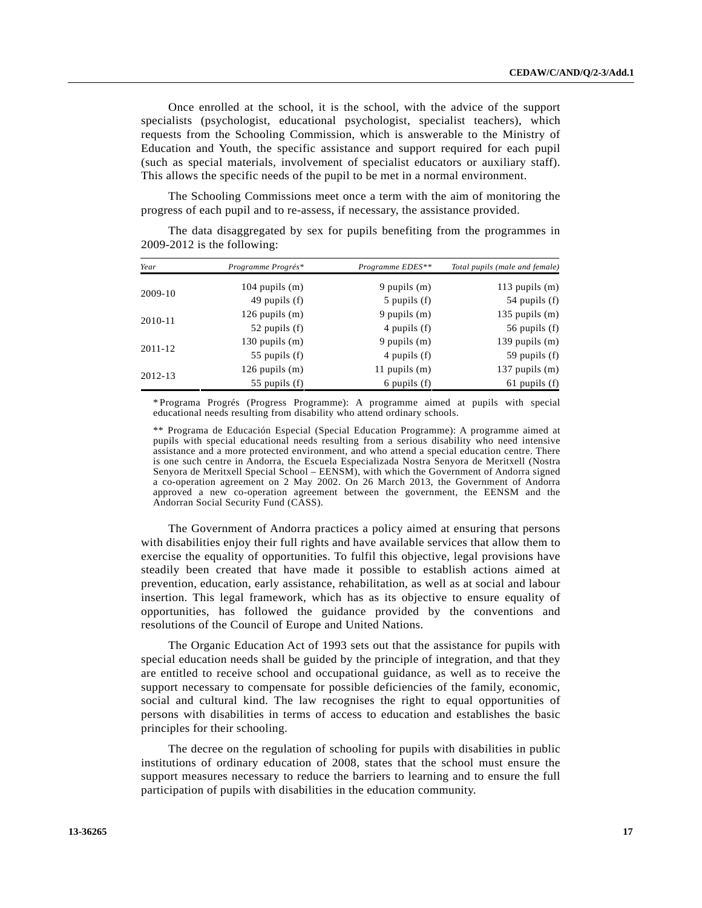Once enrolled at the school, it is the school, with the advice of the support specialists (psychologist, educational psychologist, specialist teachers), which requests from the Schooling Commission, which is answerable to the Ministry of Education and Youth, the specific assistance and support required for each pupil (such as special materials, involvement of specialist educators or auxiliary staff). This allows the specific needs of the pupil to be met in a normal environment.

 The Schooling Commissions meet once a term with the aim of monitoring the progress of each pupil and to re-assess, if necessary, the assistance provided.

| Year    | Programme Progrés* | Programme EDES** | Total pupils (male and female) |
|---------|--------------------|------------------|--------------------------------|
| 2009-10 | 104 pupils $(m)$   | 9 pupils $(m)$   | 113 pupils $(m)$               |
|         | 49 pupils $(f)$    | $5$ pupils $(f)$ | 54 pupils $(f)$                |
| 2010-11 | $126$ pupils $(m)$ | 9 pupils $(m)$   | $135$ pupils $(m)$             |
|         | 52 pupils $(f)$    | 4 pupils (f)     | 56 pupils $(f)$                |
| 2011-12 | $130$ pupils $(m)$ | 9 pupils $(m)$   | 139 pupils $(m)$               |
|         | 55 pupils $(f)$    | 4 pupils (f)     | 59 pupils $(f)$                |
| 2012-13 | 126 pupils $(m)$   | 11 pupils $(m)$  | 137 pupils $(m)$               |
|         | 55 pupils $(f)$    | 6 pupils $(f)$   | $61$ pupils $(f)$              |

 The data disaggregated by sex for pupils benefiting from the programmes in 2009-2012 is the following:

\* Programa Progrés (Progress Programme): A programme aimed at pupils with special educational needs resulting from disability who attend ordinary schools.

\*\* Programa de Educación Especial (Special Education Programme): A programme aimed at pupils with special educational needs resulting from a serious disability who need intensive assistance and a more protected environment, and who attend a special education centre. There is one such centre in Andorra, the Escuela Especializada Nostra Senyora de Meritxell (Nostra Senyora de Meritxell Special School – EENSM), with which the Government of Andorra signed a co-operation agreement on 2 May 2002. On 26 March 2013, the Government of Andorra approved a new co-operation agreement between the government, the EENSM and the Andorran Social Security Fund (CASS).

 The Government of Andorra practices a policy aimed at ensuring that persons with disabilities enjoy their full rights and have available services that allow them to exercise the equality of opportunities. To fulfil this objective, legal provisions have steadily been created that have made it possible to establish actions aimed at prevention, education, early assistance, rehabilitation, as well as at social and labour insertion. This legal framework, which has as its objective to ensure equality of opportunities, has followed the guidance provided by the conventions and resolutions of the Council of Europe and United Nations.

 The Organic Education Act of 1993 sets out that the assistance for pupils with special education needs shall be guided by the principle of integration, and that they are entitled to receive school and occupational guidance, as well as to receive the support necessary to compensate for possible deficiencies of the family, economic, social and cultural kind. The law recognises the right to equal opportunities of persons with disabilities in terms of access to education and establishes the basic principles for their schooling.

 The decree on the regulation of schooling for pupils with disabilities in public institutions of ordinary education of 2008, states that the school must ensure the support measures necessary to reduce the barriers to learning and to ensure the full participation of pupils with disabilities in the education community.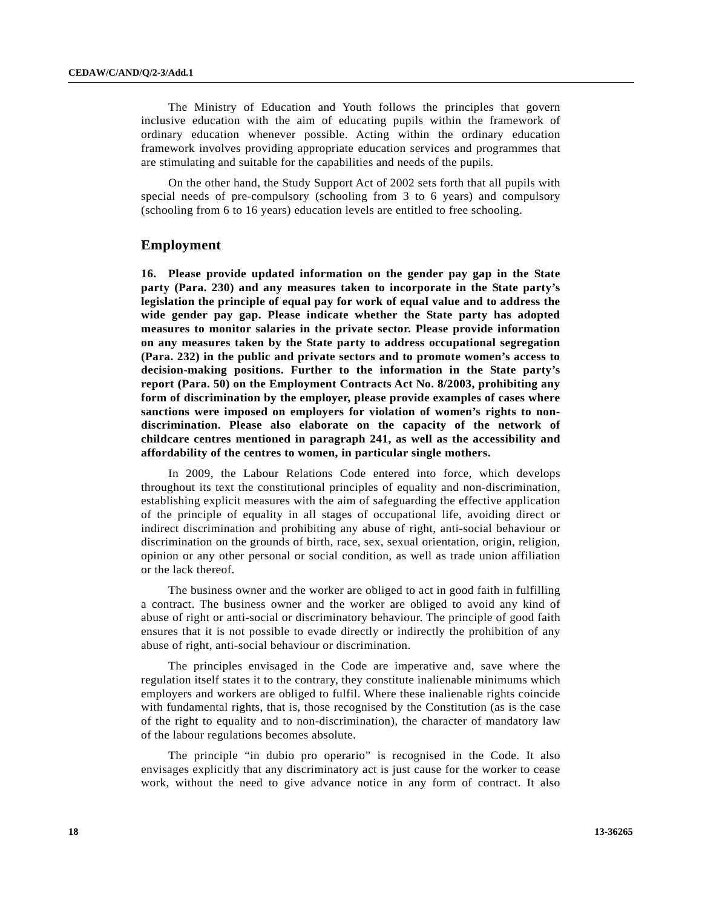The Ministry of Education and Youth follows the principles that govern inclusive education with the aim of educating pupils within the framework of ordinary education whenever possible. Acting within the ordinary education framework involves providing appropriate education services and programmes that are stimulating and suitable for the capabilities and needs of the pupils.

 On the other hand, the Study Support Act of 2002 sets forth that all pupils with special needs of pre-compulsory (schooling from 3 to 6 years) and compulsory (schooling from 6 to 16 years) education levels are entitled to free schooling.

### **Employment**

**16. Please provide updated information on the gender pay gap in the State party (Para. 230) and any measures taken to incorporate in the State party's legislation the principle of equal pay for work of equal value and to address the wide gender pay gap. Please indicate whether the State party has adopted measures to monitor salaries in the private sector. Please provide information on any measures taken by the State party to address occupational segregation (Para. 232) in the public and private sectors and to promote women's access to decision-making positions. Further to the information in the State party's report (Para. 50) on the Employment Contracts Act No. 8/2003, prohibiting any form of discrimination by the employer, please provide examples of cases where sanctions were imposed on employers for violation of women's rights to nondiscrimination. Please also elaborate on the capacity of the network of childcare centres mentioned in paragraph 241, as well as the accessibility and affordability of the centres to women, in particular single mothers.** 

 In 2009, the Labour Relations Code entered into force, which develops throughout its text the constitutional principles of equality and non-discrimination, establishing explicit measures with the aim of safeguarding the effective application of the principle of equality in all stages of occupational life, avoiding direct or indirect discrimination and prohibiting any abuse of right, anti-social behaviour or discrimination on the grounds of birth, race, sex, sexual orientation, origin, religion, opinion or any other personal or social condition, as well as trade union affiliation or the lack thereof.

 The business owner and the worker are obliged to act in good faith in fulfilling a contract. The business owner and the worker are obliged to avoid any kind of abuse of right or anti-social or discriminatory behaviour. The principle of good faith ensures that it is not possible to evade directly or indirectly the prohibition of any abuse of right, anti-social behaviour or discrimination.

 The principles envisaged in the Code are imperative and, save where the regulation itself states it to the contrary, they constitute inalienable minimums which employers and workers are obliged to fulfil. Where these inalienable rights coincide with fundamental rights, that is, those recognised by the Constitution (as is the case of the right to equality and to non-discrimination), the character of mandatory law of the labour regulations becomes absolute.

 The principle "in dubio pro operario" is recognised in the Code. It also envisages explicitly that any discriminatory act is just cause for the worker to cease work, without the need to give advance notice in any form of contract. It also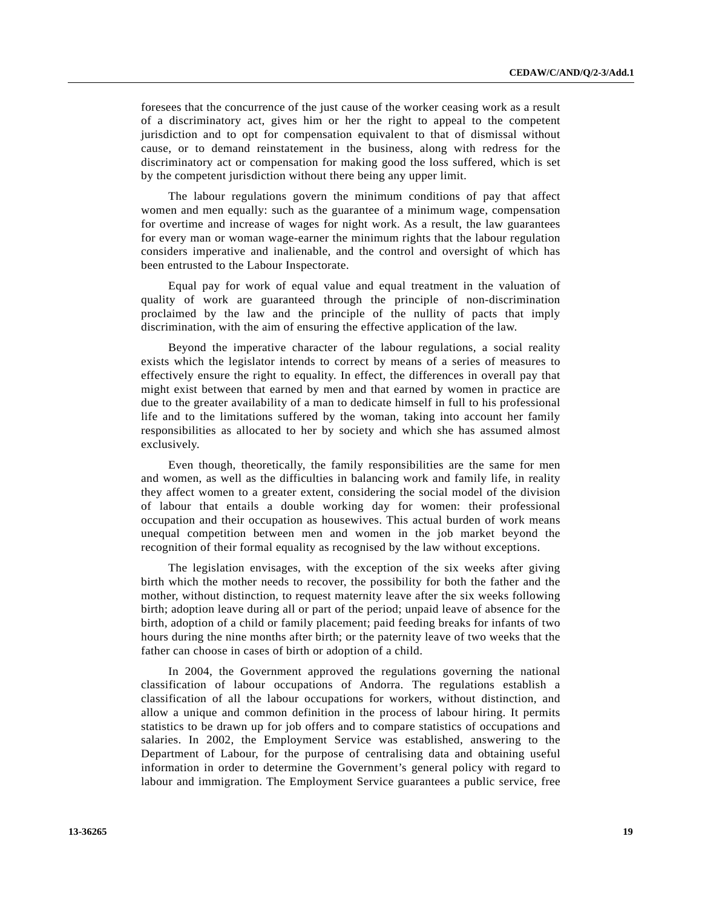foresees that the concurrence of the just cause of the worker ceasing work as a result of a discriminatory act, gives him or her the right to appeal to the competent jurisdiction and to opt for compensation equivalent to that of dismissal without cause, or to demand reinstatement in the business, along with redress for the discriminatory act or compensation for making good the loss suffered, which is set by the competent jurisdiction without there being any upper limit.

 The labour regulations govern the minimum conditions of pay that affect women and men equally: such as the guarantee of a minimum wage, compensation for overtime and increase of wages for night work. As a result, the law guarantees for every man or woman wage-earner the minimum rights that the labour regulation considers imperative and inalienable, and the control and oversight of which has been entrusted to the Labour Inspectorate.

 Equal pay for work of equal value and equal treatment in the valuation of quality of work are guaranteed through the principle of non-discrimination proclaimed by the law and the principle of the nullity of pacts that imply discrimination, with the aim of ensuring the effective application of the law.

 Beyond the imperative character of the labour regulations, a social reality exists which the legislator intends to correct by means of a series of measures to effectively ensure the right to equality. In effect, the differences in overall pay that might exist between that earned by men and that earned by women in practice are due to the greater availability of a man to dedicate himself in full to his professional life and to the limitations suffered by the woman, taking into account her family responsibilities as allocated to her by society and which she has assumed almost exclusively.

 Even though, theoretically, the family responsibilities are the same for men and women, as well as the difficulties in balancing work and family life, in reality they affect women to a greater extent, considering the social model of the division of labour that entails a double working day for women: their professional occupation and their occupation as housewives. This actual burden of work means unequal competition between men and women in the job market beyond the recognition of their formal equality as recognised by the law without exceptions.

 The legislation envisages, with the exception of the six weeks after giving birth which the mother needs to recover, the possibility for both the father and the mother, without distinction, to request maternity leave after the six weeks following birth; adoption leave during all or part of the period; unpaid leave of absence for the birth, adoption of a child or family placement; paid feeding breaks for infants of two hours during the nine months after birth; or the paternity leave of two weeks that the father can choose in cases of birth or adoption of a child.

 In 2004, the Government approved the regulations governing the national classification of labour occupations of Andorra. The regulations establish a classification of all the labour occupations for workers, without distinction, and allow a unique and common definition in the process of labour hiring. It permits statistics to be drawn up for job offers and to compare statistics of occupations and salaries. In 2002, the Employment Service was established, answering to the Department of Labour, for the purpose of centralising data and obtaining useful information in order to determine the Government's general policy with regard to labour and immigration. The Employment Service guarantees a public service, free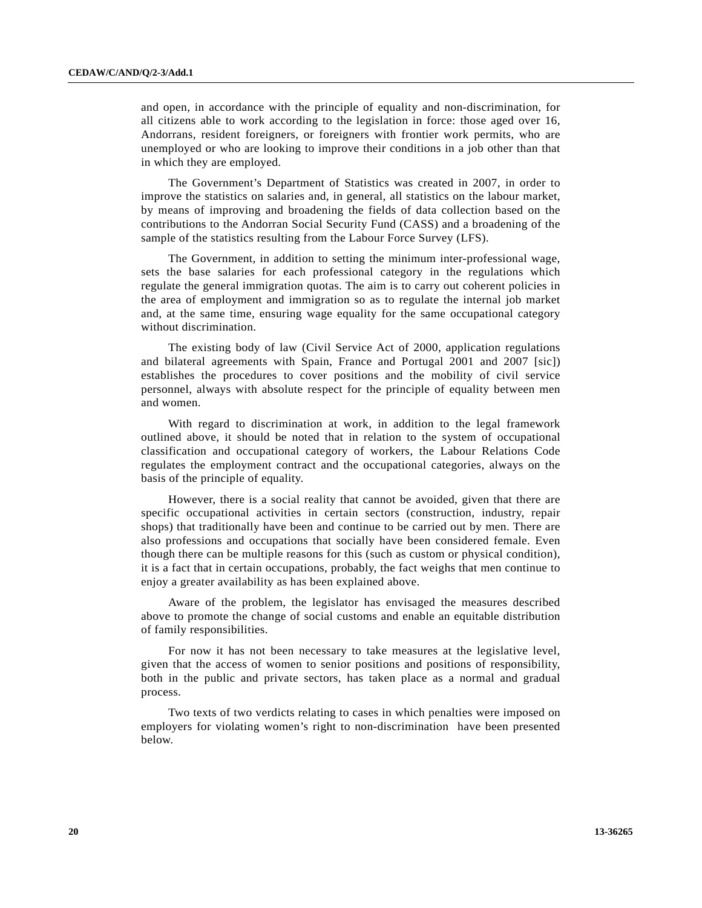and open, in accordance with the principle of equality and non-discrimination, for all citizens able to work according to the legislation in force: those aged over 16, Andorrans, resident foreigners, or foreigners with frontier work permits, who are unemployed or who are looking to improve their conditions in a job other than that in which they are employed.

 The Government's Department of Statistics was created in 2007, in order to improve the statistics on salaries and, in general, all statistics on the labour market, by means of improving and broadening the fields of data collection based on the contributions to the Andorran Social Security Fund (CASS) and a broadening of the sample of the statistics resulting from the Labour Force Survey (LFS).

 The Government, in addition to setting the minimum inter-professional wage, sets the base salaries for each professional category in the regulations which regulate the general immigration quotas. The aim is to carry out coherent policies in the area of employment and immigration so as to regulate the internal job market and, at the same time, ensuring wage equality for the same occupational category without discrimination.

 The existing body of law (Civil Service Act of 2000, application regulations and bilateral agreements with Spain, France and Portugal 2001 and 2007 [sic]) establishes the procedures to cover positions and the mobility of civil service personnel, always with absolute respect for the principle of equality between men and women.

 With regard to discrimination at work, in addition to the legal framework outlined above, it should be noted that in relation to the system of occupational classification and occupational category of workers, the Labour Relations Code regulates the employment contract and the occupational categories, always on the basis of the principle of equality.

 However, there is a social reality that cannot be avoided, given that there are specific occupational activities in certain sectors (construction, industry, repair shops) that traditionally have been and continue to be carried out by men. There are also professions and occupations that socially have been considered female. Even though there can be multiple reasons for this (such as custom or physical condition), it is a fact that in certain occupations, probably, the fact weighs that men continue to enjoy a greater availability as has been explained above.

 Aware of the problem, the legislator has envisaged the measures described above to promote the change of social customs and enable an equitable distribution of family responsibilities.

 For now it has not been necessary to take measures at the legislative level, given that the access of women to senior positions and positions of responsibility, both in the public and private sectors, has taken place as a normal and gradual process.

 Two texts of two verdicts relating to cases in which penalties were imposed on employers for violating women's right to non-discrimination have been presented below.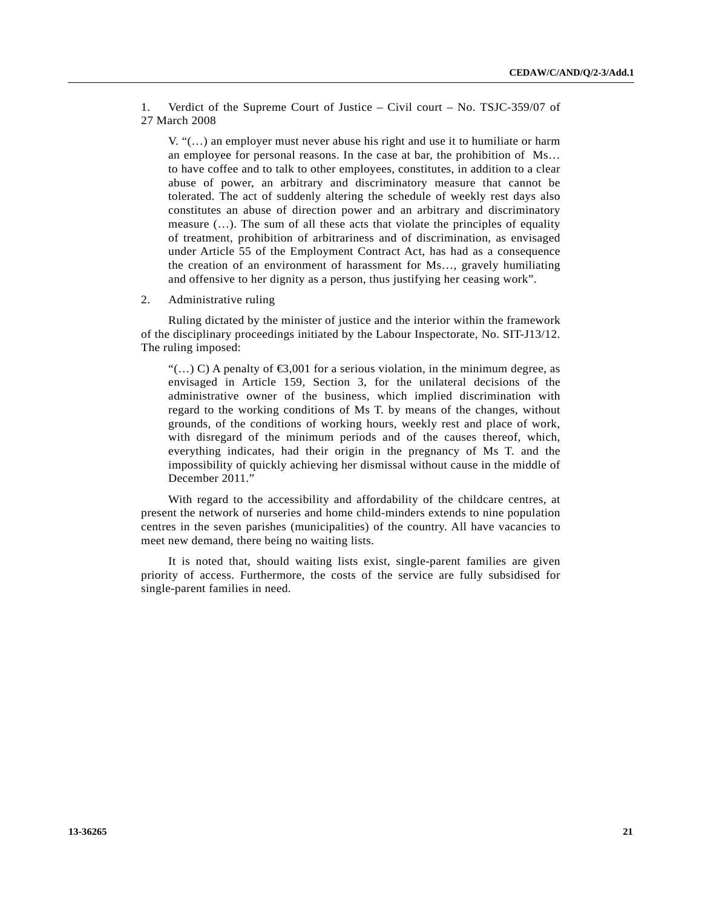1. Verdict of the Supreme Court of Justice – Civil court – No. TSJC-359/07 of 27 March 2008

 $V, \mathcal{L}(\ldots)$  an employer must never abuse his right and use it to humiliate or harm an employee for personal reasons. In the case at bar, the prohibition of Ms… to have coffee and to talk to other employees, constitutes, in addition to a clear abuse of power, an arbitrary and discriminatory measure that cannot be tolerated. The act of suddenly altering the schedule of weekly rest days also constitutes an abuse of direction power and an arbitrary and discriminatory measure (…). The sum of all these acts that violate the principles of equality of treatment, prohibition of arbitrariness and of discrimination, as envisaged under Article 55 of the Employment Contract Act, has had as a consequence the creation of an environment of harassment for Ms…, gravely humiliating and offensive to her dignity as a person, thus justifying her ceasing work".

2. Administrative ruling

 Ruling dictated by the minister of justice and the interior within the framework of the disciplinary proceedings initiated by the Labour Inspectorate, No. SIT-J13/12. The ruling imposed:

 $\left(\dots\right)$  C) A penalty of  $\bigoplus$ ,001 for a serious violation, in the minimum degree, as envisaged in Article 159, Section 3, for the unilateral decisions of the administrative owner of the business, which implied discrimination with regard to the working conditions of Ms T. by means of the changes, without grounds, of the conditions of working hours, weekly rest and place of work, with disregard of the minimum periods and of the causes thereof, which, everything indicates, had their origin in the pregnancy of Ms T. and the impossibility of quickly achieving her dismissal without cause in the middle of December 2011."

 With regard to the accessibility and affordability of the childcare centres, at present the network of nurseries and home child-minders extends to nine population centres in the seven parishes (municipalities) of the country. All have vacancies to meet new demand, there being no waiting lists.

 It is noted that, should waiting lists exist, single-parent families are given priority of access. Furthermore, the costs of the service are fully subsidised for single-parent families in need.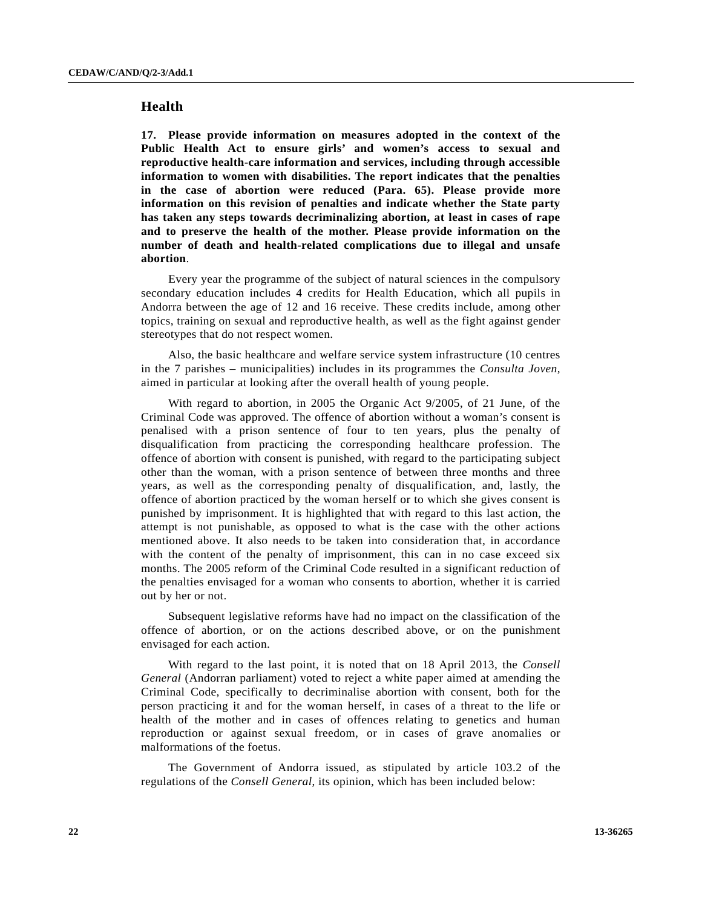# **Health**

**17. Please provide information on measures adopted in the context of the Public Health Act to ensure girls' and women's access to sexual and reproductive health-care information and services, including through accessible information to women with disabilities. The report indicates that the penalties in the case of abortion were reduced (Para. 65). Please provide more information on this revision of penalties and indicate whether the State party has taken any steps towards decriminalizing abortion, at least in cases of rape and to preserve the health of the mother. Please provide information on the number of death and health-related complications due to illegal and unsafe abortion**.

 Every year the programme of the subject of natural sciences in the compulsory secondary education includes 4 credits for Health Education, which all pupils in Andorra between the age of 12 and 16 receive. These credits include, among other topics, training on sexual and reproductive health, as well as the fight against gender stereotypes that do not respect women.

 Also, the basic healthcare and welfare service system infrastructure (10 centres in the 7 parishes – municipalities) includes in its programmes the *Consulta Joven*, aimed in particular at looking after the overall health of young people.

 With regard to abortion, in 2005 the Organic Act 9/2005, of 21 June, of the Criminal Code was approved. The offence of abortion without a woman's consent is penalised with a prison sentence of four to ten years, plus the penalty of disqualification from practicing the corresponding healthcare profession. The offence of abortion with consent is punished, with regard to the participating subject other than the woman, with a prison sentence of between three months and three years, as well as the corresponding penalty of disqualification, and, lastly, the offence of abortion practiced by the woman herself or to which she gives consent is punished by imprisonment. It is highlighted that with regard to this last action, the attempt is not punishable, as opposed to what is the case with the other actions mentioned above. It also needs to be taken into consideration that, in accordance with the content of the penalty of imprisonment, this can in no case exceed six months. The 2005 reform of the Criminal Code resulted in a significant reduction of the penalties envisaged for a woman who consents to abortion, whether it is carried out by her or not.

 Subsequent legislative reforms have had no impact on the classification of the offence of abortion, or on the actions described above, or on the punishment envisaged for each action.

 With regard to the last point, it is noted that on 18 April 2013, the *Consell General* (Andorran parliament) voted to reject a white paper aimed at amending the Criminal Code, specifically to decriminalise abortion with consent, both for the person practicing it and for the woman herself, in cases of a threat to the life or health of the mother and in cases of offences relating to genetics and human reproduction or against sexual freedom, or in cases of grave anomalies or malformations of the foetus.

 The Government of Andorra issued, as stipulated by article 103.2 of the regulations of the *Consell General*, its opinion, which has been included below: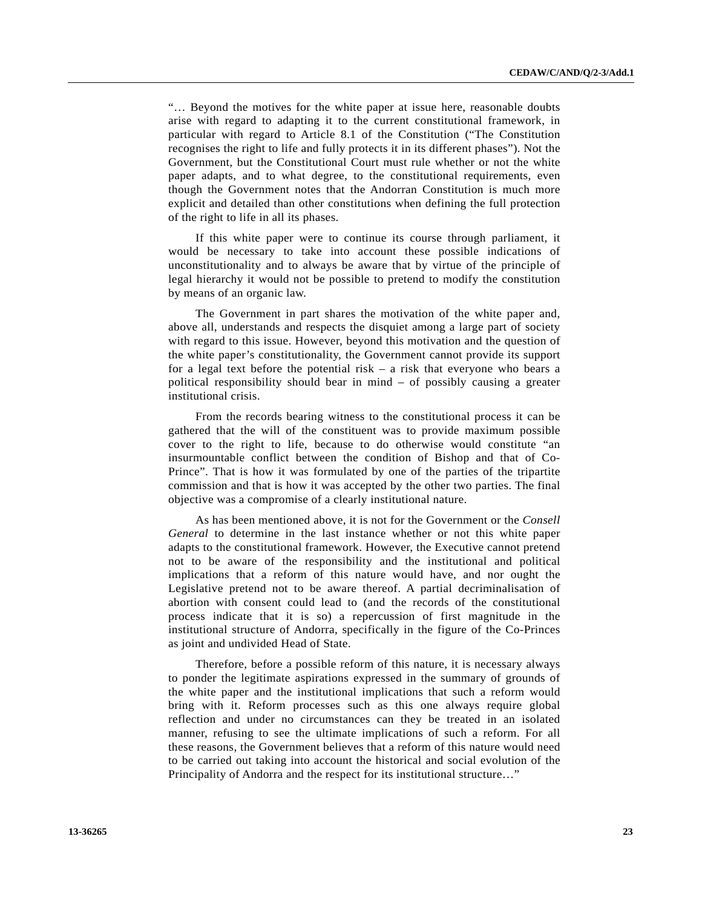"… Beyond the motives for the white paper at issue here, reasonable doubts arise with regard to adapting it to the current constitutional framework, in particular with regard to Article 8.1 of the Constitution ("The Constitution recognises the right to life and fully protects it in its different phases"). Not the Government, but the Constitutional Court must rule whether or not the white paper adapts, and to what degree, to the constitutional requirements, even though the Government notes that the Andorran Constitution is much more explicit and detailed than other constitutions when defining the full protection of the right to life in all its phases.

 If this white paper were to continue its course through parliament, it would be necessary to take into account these possible indications of unconstitutionality and to always be aware that by virtue of the principle of legal hierarchy it would not be possible to pretend to modify the constitution by means of an organic law.

 The Government in part shares the motivation of the white paper and, above all, understands and respects the disquiet among a large part of society with regard to this issue. However, beyond this motivation and the question of the white paper's constitutionality, the Government cannot provide its support for a legal text before the potential risk – a risk that everyone who bears a political responsibility should bear in mind – of possibly causing a greater institutional crisis.

 From the records bearing witness to the constitutional process it can be gathered that the will of the constituent was to provide maximum possible cover to the right to life, because to do otherwise would constitute "an insurmountable conflict between the condition of Bishop and that of Co-Prince". That is how it was formulated by one of the parties of the tripartite commission and that is how it was accepted by the other two parties. The final objective was a compromise of a clearly institutional nature.

 As has been mentioned above, it is not for the Government or the *Consell General* to determine in the last instance whether or not this white paper adapts to the constitutional framework. However, the Executive cannot pretend not to be aware of the responsibility and the institutional and political implications that a reform of this nature would have, and nor ought the Legislative pretend not to be aware thereof. A partial decriminalisation of abortion with consent could lead to (and the records of the constitutional process indicate that it is so) a repercussion of first magnitude in the institutional structure of Andorra, specifically in the figure of the Co-Princes as joint and undivided Head of State.

 Therefore, before a possible reform of this nature, it is necessary always to ponder the legitimate aspirations expressed in the summary of grounds of the white paper and the institutional implications that such a reform would bring with it. Reform processes such as this one always require global reflection and under no circumstances can they be treated in an isolated manner, refusing to see the ultimate implications of such a reform. For all these reasons, the Government believes that a reform of this nature would need to be carried out taking into account the historical and social evolution of the Principality of Andorra and the respect for its institutional structure…"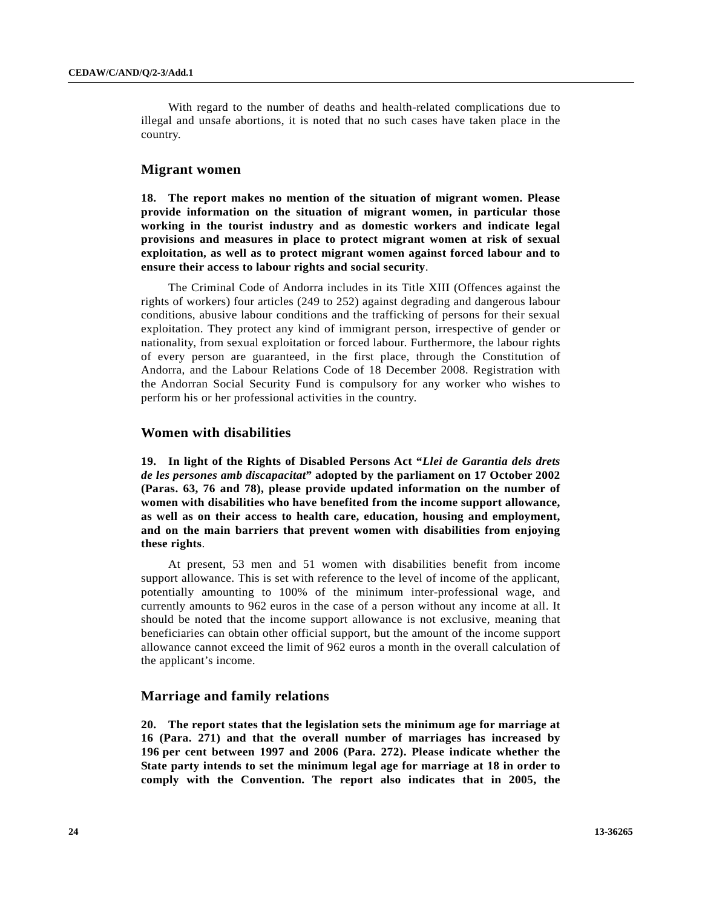With regard to the number of deaths and health-related complications due to illegal and unsafe abortions, it is noted that no such cases have taken place in the country.

### **Migrant women**

**18. The report makes no mention of the situation of migrant women. Please provide information on the situation of migrant women, in particular those working in the tourist industry and as domestic workers and indicate legal provisions and measures in place to protect migrant women at risk of sexual exploitation, as well as to protect migrant women against forced labour and to ensure their access to labour rights and social security**.

 The Criminal Code of Andorra includes in its Title XIII (Offences against the rights of workers) four articles (249 to 252) against degrading and dangerous labour conditions, abusive labour conditions and the trafficking of persons for their sexual exploitation. They protect any kind of immigrant person, irrespective of gender or nationality, from sexual exploitation or forced labour. Furthermore, the labour rights of every person are guaranteed, in the first place, through the Constitution of Andorra, and the Labour Relations Code of 18 December 2008. Registration with the Andorran Social Security Fund is compulsory for any worker who wishes to perform his or her professional activities in the country.

### **Women with disabilities**

**19. In light of the Rights of Disabled Persons Act "***Llei de Garantia dels drets de les persones amb discapacitat***" adopted by the parliament on 17 October 2002 (Paras. 63, 76 and 78), please provide updated information on the number of women with disabilities who have benefited from the income support allowance, as well as on their access to health care, education, housing and employment, and on the main barriers that prevent women with disabilities from enjoying these rights**.

 At present, 53 men and 51 women with disabilities benefit from income support allowance. This is set with reference to the level of income of the applicant, potentially amounting to 100% of the minimum inter-professional wage, and currently amounts to 962 euros in the case of a person without any income at all. It should be noted that the income support allowance is not exclusive, meaning that beneficiaries can obtain other official support, but the amount of the income support allowance cannot exceed the limit of 962 euros a month in the overall calculation of the applicant's income.

### **Marriage and family relations**

**20. The report states that the legislation sets the minimum age for marriage at 16 (Para. 271) and that the overall number of marriages has increased by 196 per cent between 1997 and 2006 (Para. 272). Please indicate whether the State party intends to set the minimum legal age for marriage at 18 in order to comply with the Convention. The report also indicates that in 2005, the**